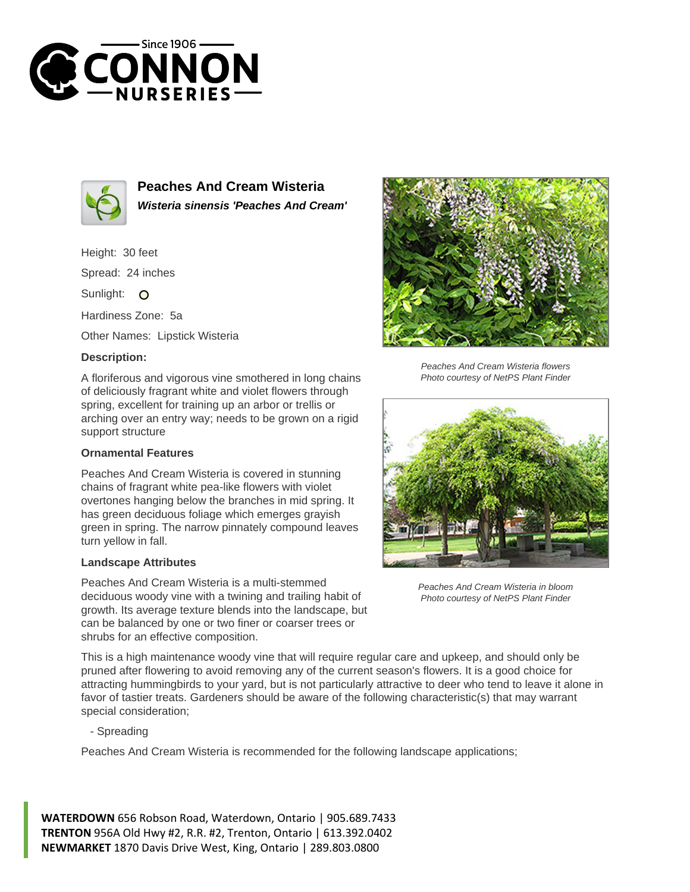



**Peaches And Cream Wisteria Wisteria sinensis 'Peaches And Cream'**

Height: 30 feet Spread: 24 inches

Sunlight: O

Hardiness Zone: 5a

Other Names: Lipstick Wisteria

## **Description:**

A floriferous and vigorous vine smothered in long chains of deliciously fragrant white and violet flowers through spring, excellent for training up an arbor or trellis or arching over an entry way; needs to be grown on a rigid support structure

## **Ornamental Features**

Peaches And Cream Wisteria is covered in stunning chains of fragrant white pea-like flowers with violet overtones hanging below the branches in mid spring. It has green deciduous foliage which emerges grayish green in spring. The narrow pinnately compound leaves turn yellow in fall.

## **Landscape Attributes**

Peaches And Cream Wisteria is a multi-stemmed deciduous woody vine with a twining and trailing habit of growth. Its average texture blends into the landscape, but can be balanced by one or two finer or coarser trees or shrubs for an effective composition.



Peaches And Cream Wisteria flowers Photo courtesy of NetPS Plant Finder



Peaches And Cream Wisteria in bloom Photo courtesy of NetPS Plant Finder

This is a high maintenance woody vine that will require regular care and upkeep, and should only be pruned after flowering to avoid removing any of the current season's flowers. It is a good choice for attracting hummingbirds to your yard, but is not particularly attractive to deer who tend to leave it alone in favor of tastier treats. Gardeners should be aware of the following characteristic(s) that may warrant special consideration;

- Spreading

Peaches And Cream Wisteria is recommended for the following landscape applications;

**WATERDOWN** 656 Robson Road, Waterdown, Ontario | 905.689.7433 **TRENTON** 956A Old Hwy #2, R.R. #2, Trenton, Ontario | 613.392.0402 **NEWMARKET** 1870 Davis Drive West, King, Ontario | 289.803.0800